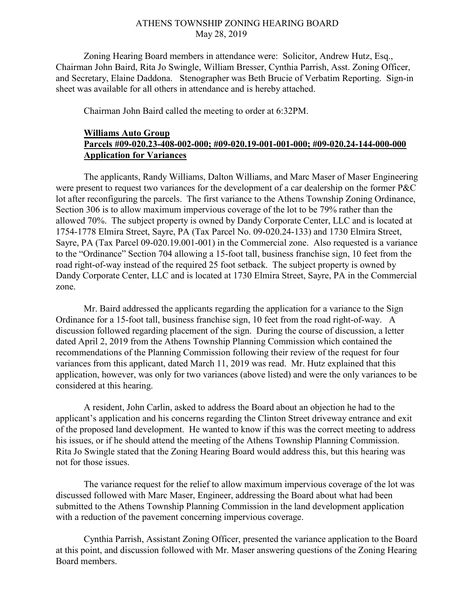## ATHENS TOWNSHIP ZONING HEARING BOARD May 28, 2019

Zoning Hearing Board members in attendance were: Solicitor, Andrew Hutz, Esq., Chairman John Baird, Rita Jo Swingle, William Bresser, Cynthia Parrish, Asst. Zoning Officer, and Secretary, Elaine Daddona. Stenographer was Beth Brucie of Verbatim Reporting. Sign-in sheet was available for all others in attendance and is hereby attached.

Chairman John Baird called the meeting to order at 6:32PM.

## Williams Auto Group Parcels #09-020.23-408-002-000; #09-020.19-001-001-000; #09-020.24-144-000-000 Application for Variances

 The applicants, Randy Williams, Dalton Williams, and Marc Maser of Maser Engineering were present to request two variances for the development of a car dealership on the former P&C lot after reconfiguring the parcels. The first variance to the Athens Township Zoning Ordinance, Section 306 is to allow maximum impervious coverage of the lot to be 79% rather than the allowed 70%. The subject property is owned by Dandy Corporate Center, LLC and is located at 1754-1778 Elmira Street, Sayre, PA (Tax Parcel No. 09-020.24-133) and 1730 Elmira Street, Sayre, PA (Tax Parcel 09-020.19.001-001) in the Commercial zone. Also requested is a variance to the "Ordinance" Section 704 allowing a 15-foot tall, business franchise sign, 10 feet from the road right-of-way instead of the required 25 foot setback. The subject property is owned by Dandy Corporate Center, LLC and is located at 1730 Elmira Street, Sayre, PA in the Commercial zone.

 Mr. Baird addressed the applicants regarding the application for a variance to the Sign Ordinance for a 15-foot tall, business franchise sign, 10 feet from the road right-of-way. A discussion followed regarding placement of the sign. During the course of discussion, a letter dated April 2, 2019 from the Athens Township Planning Commission which contained the recommendations of the Planning Commission following their review of the request for four variances from this applicant, dated March 11, 2019 was read. Mr. Hutz explained that this application, however, was only for two variances (above listed) and were the only variances to be considered at this hearing.

 A resident, John Carlin, asked to address the Board about an objection he had to the applicant's application and his concerns regarding the Clinton Street driveway entrance and exit of the proposed land development. He wanted to know if this was the correct meeting to address his issues, or if he should attend the meeting of the Athens Township Planning Commission. Rita Jo Swingle stated that the Zoning Hearing Board would address this, but this hearing was not for those issues.

 The variance request for the relief to allow maximum impervious coverage of the lot was discussed followed with Marc Maser, Engineer, addressing the Board about what had been submitted to the Athens Township Planning Commission in the land development application with a reduction of the pavement concerning impervious coverage.

 Cynthia Parrish, Assistant Zoning Officer, presented the variance application to the Board at this point, and discussion followed with Mr. Maser answering questions of the Zoning Hearing Board members.